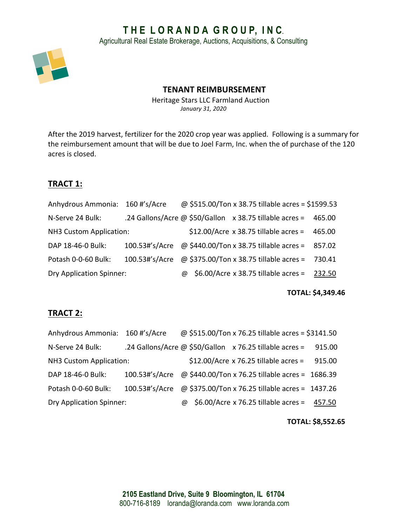# **T H E L O R A N D A G R O U P, I N C**.

Agricultural Real Estate Brokerage, Auctions, Acquisitions, & Consulting



### **TENANT REIMBURSEMENT**

Heritage Stars LLC Farmland Auction *January 31, 2020*

After the 2019 harvest, fertilizer for the 2020 crop year was applied. Following is a summary for the reimbursement amount that will be due to Joel Farm, Inc. when the of purchase of the 120 acres is closed.

# **TRACT 1:**

| Anhydrous Ammonia: 160 #'s/Acre |                                                                |   |  | @ \$515.00/Ton x 38.75 tillable acres = \$1599.53 |        |
|---------------------------------|----------------------------------------------------------------|---|--|---------------------------------------------------|--------|
| N-Serve 24 Bulk:                | .24 Gallons/Acre @ \$50/Gallon $\times$ 38.75 tillable acres = |   |  |                                                   | 465.00 |
| NH3 Custom Application:         |                                                                |   |  | $$12.00/Acre \times 38.75$ tillable acres =       | 465.00 |
| DAP 18-46-0 Bulk:               | 100.53#'s/Acre @ \$440.00/Ton x 38.75 tillable acres = 857.02  |   |  |                                                   |        |
| Potash 0-0-60 Bulk:             | 100.53#'s/Acre $\omega$ \$375.00/Ton x 38.75 tillable acres =  |   |  |                                                   | 730.41 |
| <b>Dry Application Spinner:</b> |                                                                | @ |  | $$6.00/$ Acre x 38.75 tillable acres = 232.50     |        |

#### **TOTAL: \$4,349.46**

### **TRACT 2:**

| Anhydrous Ammonia: 160 #'s/Acre |                                                                |   |  | @ \$515.00/Ton x 76.25 tillable acres = \$3141.50 |        |
|---------------------------------|----------------------------------------------------------------|---|--|---------------------------------------------------|--------|
| N-Serve 24 Bulk:                | .24 Gallons/Acre @ \$50/Gallon x 76.25 tillable acres =        |   |  |                                                   | 915.00 |
| NH3 Custom Application:         |                                                                |   |  | $$12.00/A$ cre x 76.25 tillable acres =           | 915.00 |
| DAP 18-46-0 Bulk:               | 100.53#'s/Acre @ \$440.00/Ton x 76.25 tillable acres = 1686.39 |   |  |                                                   |        |
| Potash 0-0-60 Bulk:             | 100.53#'s/Acre @ \$375.00/Ton x 76.25 tillable acres = 1437.26 |   |  |                                                   |        |
| <b>Dry Application Spinner:</b> |                                                                | @ |  | $$6.00/$ Acre x 76.25 tillable acres =            | 457.50 |

#### **TOTAL: \$8,552.65**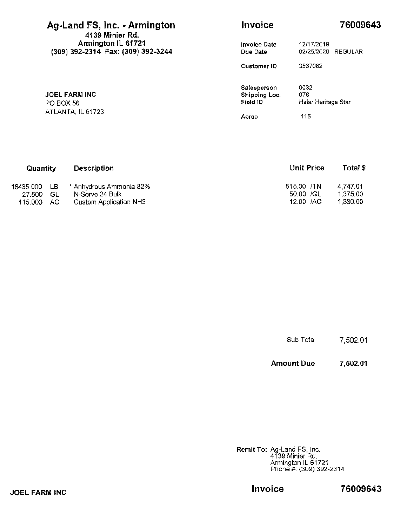| Ag-Land FS, Inc. - Armington<br>4139 Minier Rd.          | Invoice                         | 76009643                            |
|----------------------------------------------------------|---------------------------------|-------------------------------------|
| Armington IL 61721<br>(309) 392-2314 Fax: (309) 392-3244 | <b>Invoice Date</b><br>Due Date | 12/17/2019<br>02/25/2020<br>REGULAR |
|                                                          | Customer ID                     | 3567082                             |
|                                                          | Salesperson                     | 0032                                |
| <b>JOEL FARM INC</b>                                     | Shipping Loc.                   | 076                                 |
| PO BOX 56                                                | Field ID                        | Hstar Heritage Star                 |
| ATLANTA, IL 61723                                        | Acres                           | 115                                 |

| Quantity  | <b>Description</b> |                         | <b>Unit Price</b> | Total \$ |  |
|-----------|--------------------|-------------------------|-------------------|----------|--|
| 18435.000 | LB.                | * Anhydrous Ammonia 82% | 515.00 /TN        | 4.747.01 |  |
| 27.500    | GL                 | N-Serve 24 Bulk         | 50.00 /GL         | 1.375.00 |  |
| 115.000   | - AC-              | Custom Application NH3  | 12.00 /AC         | 1.380.00 |  |

**Amount Due** 7,502.01

**Remit To: Ag-Land FS, Inc.<br>4139 Minier Rd.<br>Armington IL 61721<br>Phone #: (309) 392-2314** 

**JOEL FARM INC** 

Invoice

76009643